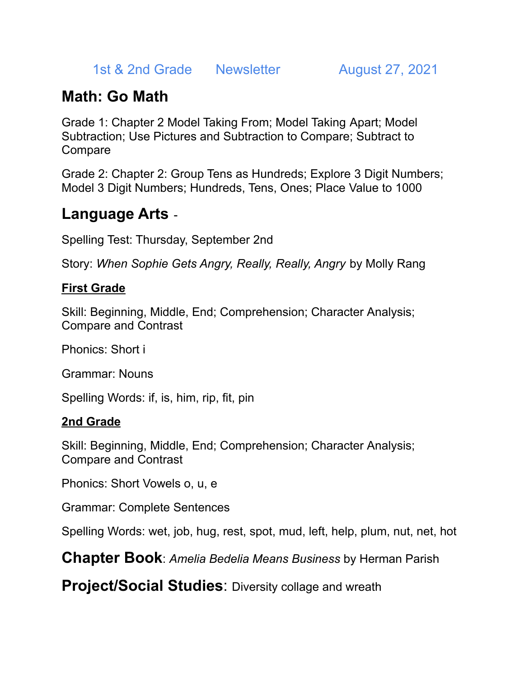1st & 2nd Grade Newsletter August 27, 2021

# **Math: Go Math**

Grade 1: Chapter 2 Model Taking From; Model Taking Apart; Model Subtraction; Use Pictures and Subtraction to Compare; Subtract to **Compare** 

Grade 2: Chapter 2: Group Tens as Hundreds; Explore 3 Digit Numbers; Model 3 Digit Numbers; Hundreds, Tens, Ones; Place Value to 1000

### **Language Arts** -

Spelling Test: Thursday, September 2nd

Story: *When Sophie Gets Angry, Really, Really, Angry* by Molly Rang

### **First Grade**

Skill: Beginning, Middle, End; Comprehension; Character Analysis; Compare and Contrast

Phonics: Short i

Grammar: Nouns

Spelling Words: if, is, him, rip, fit, pin

#### **2nd Grade**

Skill: Beginning, Middle, End; Comprehension; Character Analysis; Compare and Contrast

Phonics: Short Vowels o, u, e

Grammar: Complete Sentences

Spelling Words: wet, job, hug, rest, spot, mud, left, help, plum, nut, net, hot

**Chapter Book**: *Amelia Bedelia Means Business* by Herman Parish

**Project/Social Studies:** Diversity collage and wreath